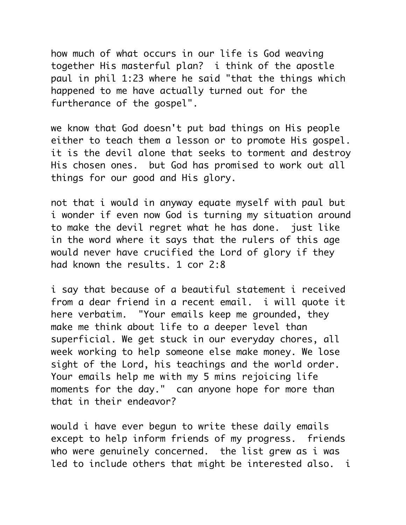how much of what occurs in our life is God weaving together His masterful plan? i think of the apostle paul in phil 1:23 where he said "that the things which happened to me have actually turned out for the furtherance of the gospel".

we know that God doesn't put bad things on His people either to teach them a lesson or to promote His gospel. it is the devil alone that seeks to torment and destroy His chosen ones. but God has promised to work out all things for our good and His glory.

not that i would in anyway equate myself with paul but i wonder if even now God is turning my situation around to make the devil regret what he has done. just like in the word where it says that the rulers of this age would never have crucified the Lord of glory if they had known the results. 1 cor 2:8

i say that because of a beautiful statement i received from a dear friend in a recent email. i will quote it here verbatim. "Your emails keep me grounded, they make me think about life to a deeper level than superficial. We get stuck in our everyday chores, all week working to help someone else make money. We lose sight of the Lord, his teachings and the world order. Your emails help me with my 5 mins rejoicing life moments for the day." can anyone hope for more than that in their endeavor?

would i have ever begun to write these daily emails except to help inform friends of my progress. friends who were genuinely concerned. the list grew as i was led to include others that might be interested also. i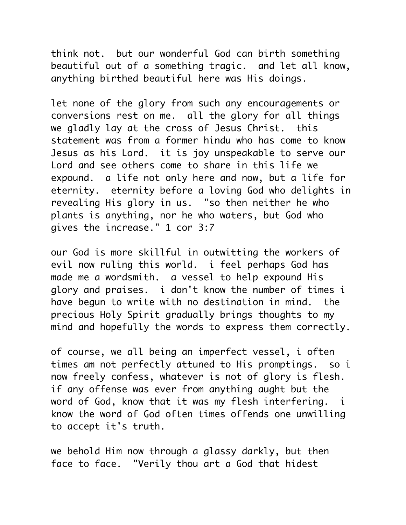think not. but our wonderful God can birth something beautiful out of a something tragic. and let all know, anything birthed beautiful here was His doings.

let none of the glory from such any encouragements or conversions rest on me. all the glory for all things we gladly lay at the cross of Jesus Christ. this statement was from a former hindu who has come to know Jesus as his Lord. it is joy unspeakable to serve our Lord and see others come to share in this life we expound. a life not only here and now, but a life for eternity. eternity before a loving God who delights in revealing His glory in us. "so then neither he who plants is anything, nor he who waters, but God who gives the increase." 1 cor 3:7

our God is more skillful in outwitting the workers of evil now ruling this world. i feel perhaps God has made me a wordsmith. a vessel to help expound His glory and praises. i don't know the number of times i have begun to write with no destination in mind. the precious Holy Spirit gradually brings thoughts to my mind and hopefully the words to express them correctly.

of course, we all being an imperfect vessel, i often times am not perfectly attuned to His promptings. so i now freely confess, whatever is not of glory is flesh. if any offense was ever from anything aught but the word of God, know that it was my flesh interfering. i know the word of God often times offends one unwilling to accept it's truth.

we behold Him now through a glassy darkly, but then face to face. "Verily thou art a God that hidest